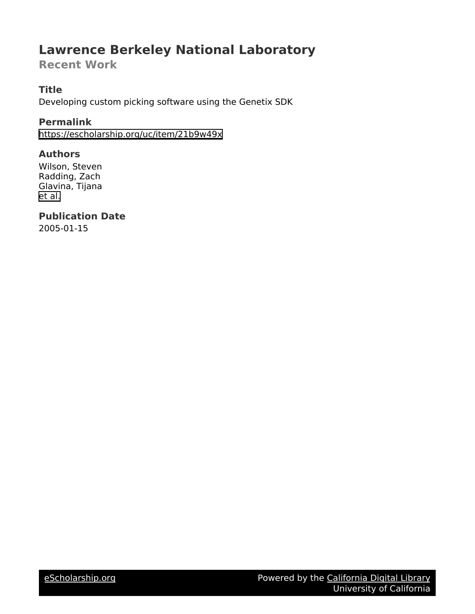# **Lawrence Berkeley National Laboratory**

**Recent Work**

## **Title**

Developing custom picking software using the Genetix SDK

### **Permalink**

<https://escholarship.org/uc/item/21b9w49x>

#### **Authors**

Wilson, Steven Radding, Zach Glavina, Tijana [et al.](https://escholarship.org/uc/item/21b9w49x#author)

**Publication Date** 2005-01-15